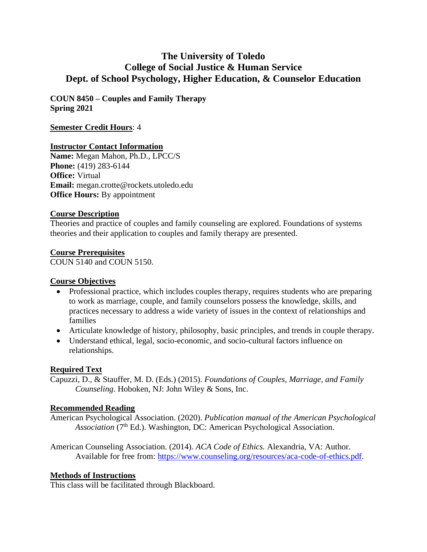# **The University of Toledo College of Social Justice & Human Service Dept. of School Psychology, Higher Education, & Counselor Education**

**COUN 8450 – Couples and Family Therapy Spring 2021**

#### **Semester Credit Hours**: 4

#### **Instructor Contact Information**

**Name:** Megan Mahon, Ph.D., LPCC/S **Phone:** (419) 283-6144 **Office:** Virtual **Email:** megan.crotte@rockets.utoledo.edu **Office Hours:** By appointment

#### **Course Description**

Theories and practice of couples and family counseling are explored. Foundations of systems theories and their application to couples and family therapy are presented.

### **Course Prerequisites**

COUN 5140 and COUN 5150.

### **Course Objectives**

- Professional practice, which includes couples therapy, requires students who are preparing to work as marriage, couple, and family counselors possess the knowledge, skills, and practices necessary to address a wide variety of issues in the context of relationships and families
- Articulate knowledge of history, philosophy, basic principles, and trends in couple therapy.
- Understand ethical, legal, socio-economic, and socio-cultural factors influence on relationships.

### **Required Text**

Capuzzi, D., & Stauffer, M. D. (Eds.) (2015). *Foundations of Couples, Marriage, and Family Counseling*. Hoboken, NJ: John Wiley & Sons, Inc.

#### **Recommended Reading**

American Psychological Association. (2020). *Publication manual of the American Psychological*  Association (7<sup>th</sup> Ed.). Washington, DC: American Psychological Association.

American Counseling Association. (2014). *ACA Code of Ethics.* Alexandria, VA: Author. Available for free from: [https://www.counseling.org/resources/aca-code-of-ethics.pdf.](https://www.counseling.org/resources/aca-code-of-ethics.pdf)

### **Methods of Instructions**

This class will be facilitated through Blackboard.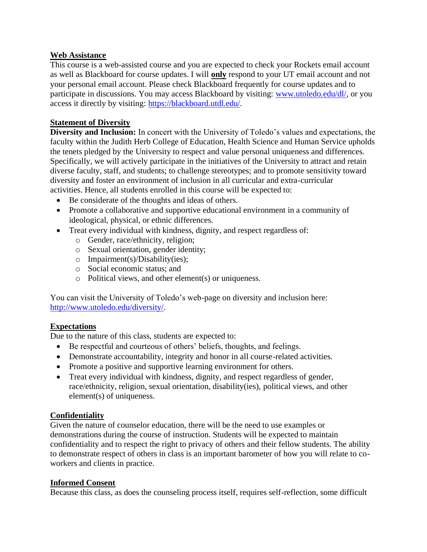#### **Web Assistance**

This course is a web-assisted course and you are expected to check your Rockets email account as well as Blackboard for course updates. I will **only** respond to your UT email account and not your personal email account. Please check Blackboard frequently for course updates and to participate in discussions. You may access Blackboard by visiting: [www.utoledo.edu/dl/,](http://www.utoledo.edu/dl/) or you access it directly by visiting: [https://blackboard.utdl.edu/.](https://blackboard.utdl.edu/)

### **Statement of Diversity**

**Diversity and Inclusion:** In concert with the University of Toledo's values and expectations, the faculty within the Judith Herb College of Education, Health Science and Human Service upholds the tenets pledged by the University to respect and value personal uniqueness and differences. Specifically, we will actively participate in the initiatives of the University to attract and retain diverse faculty, staff, and students; to challenge stereotypes; and to promote sensitivity toward diversity and foster an environment of inclusion in all curricular and extra-curricular activities. Hence, all students enrolled in this course will be expected to:

- Be considerate of the thoughts and ideas of others.
- Promote a collaborative and supportive educational environment in a community of ideological, physical, or ethnic differences.
- Treat every individual with kindness, dignity, and respect regardless of:
	- o Gender, race/ethnicity, religion;
	- o Sexual orientation, gender identity;
	- o Impairment(s)/Disability(ies);
	- o Social economic status; and
	- o Political views, and other element(s) or uniqueness.

You can visit the University of Toledo's web-page on diversity and inclusion here: [http://www.utoledo.edu/diversity/.](http://www.utoledo.edu/diversity/)

### **Expectations**

Due to the nature of this class, students are expected to:

- Be respectful and courteous of others' beliefs, thoughts, and feelings.
- Demonstrate accountability, integrity and honor in all course-related activities.
- Promote a positive and supportive learning environment for others.
- Treat every individual with kindness, dignity, and respect regardless of gender, race/ethnicity, religion, sexual orientation, disability(ies), political views, and other element(s) of uniqueness.

### **Confidentiality**

Given the nature of counselor education, there will be the need to use examples or demonstrations during the course of instruction. Students will be expected to maintain confidentiality and to respect the right to privacy of others and their fellow students. The ability to demonstrate respect of others in class is an important barometer of how you will relate to coworkers and clients in practice.

### **Informed Consent**

Because this class, as does the counseling process itself, requires self-reflection, some difficult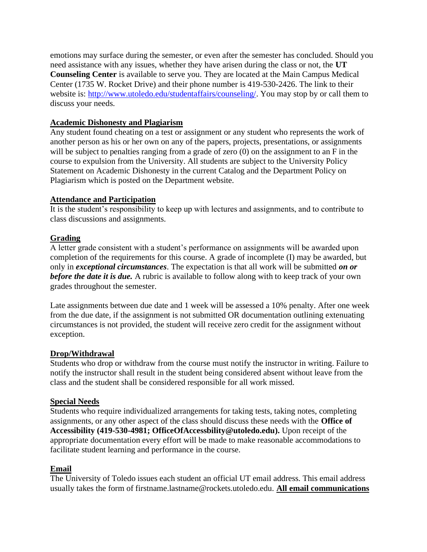emotions may surface during the semester, or even after the semester has concluded. Should you need assistance with any issues, whether they have arisen during the class or not, the **UT Counseling Center** is available to serve you. They are located at the Main Campus Medical Center (1735 W. Rocket Drive) and their phone number is 419-530-2426. The link to their website is: [http://www.utoledo.edu/studentaffairs/counseling/.](http://www.utoledo.edu/studentaffairs/counseling/) You may stop by or call them to discuss your needs.

### **Academic Dishonesty and Plagiarism**

Any student found cheating on a test or assignment or any student who represents the work of another person as his or her own on any of the papers, projects, presentations, or assignments will be subject to penalties ranging from a grade of zero (0) on the assignment to an F in the course to expulsion from the University. All students are subject to the University Policy Statement on Academic Dishonesty in the current Catalog and the Department Policy on Plagiarism which is posted on the Department website.

### **Attendance and Participation**

It is the student's responsibility to keep up with lectures and assignments, and to contribute to class discussions and assignments.

### **Grading**

A letter grade consistent with a student's performance on assignments will be awarded upon completion of the requirements for this course. A grade of incomplete (I) may be awarded, but only in *exceptional circumstances*. The expectation is that all work will be submitted *on or before the date it is due.* A rubric is available to follow along with to keep track of your own grades throughout the semester.

Late assignments between due date and 1 week will be assessed a 10% penalty. After one week from the due date, if the assignment is not submitted OR documentation outlining extenuating circumstances is not provided, the student will receive zero credit for the assignment without exception.

### **Drop/Withdrawal**

Students who drop or withdraw from the course must notify the instructor in writing. Failure to notify the instructor shall result in the student being considered absent without leave from the class and the student shall be considered responsible for all work missed.

#### **Special Needs**

Students who require individualized arrangements for taking tests, taking notes, completing assignments, or any other aspect of the class should discuss these needs with the **Office of Accessibility (419-530-4981; OfficeOfAccessbility@utoledo.edu).** Upon receipt of the appropriate documentation every effort will be made to make reasonable accommodations to facilitate student learning and performance in the course.

### **Email**

The University of Toledo issues each student an official UT email address. This email address usually takes the form of firstname.lastname@rockets.utoledo.edu. **All email communications**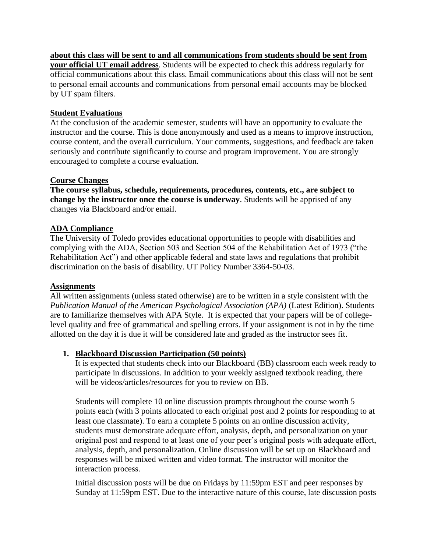**about this class will be sent to and all communications from students should be sent from your official UT email address**. Students will be expected to check this address regularly for official communications about this class. Email communications about this class will not be sent

to personal email accounts and communications from personal email accounts may be blocked by UT spam filters.

# **Student Evaluations**

At the conclusion of the academic semester, students will have an opportunity to evaluate the instructor and the course. This is done anonymously and used as a means to improve instruction, course content, and the overall curriculum. Your comments, suggestions, and feedback are taken seriously and contribute significantly to course and program improvement. You are strongly encouraged to complete a course evaluation.

# **Course Changes**

**The course syllabus, schedule, requirements, procedures, contents, etc., are subject to change by the instructor once the course is underway**. Students will be apprised of any changes via Blackboard and/or email.

# **ADA Compliance**

The University of Toledo provides educational opportunities to people with disabilities and complying with the ADA, Section 503 and Section 504 of the Rehabilitation Act of 1973 ("the Rehabilitation Act") and other applicable federal and state laws and regulations that prohibit discrimination on the basis of disability. UT Policy Number 3364-50-03.

### **Assignments**

All written assignments (unless stated otherwise) are to be written in a style consistent with the *Publication Manual of the American Psychological Association (APA)* (Latest Edition). Students are to familiarize themselves with APA Style. It is expected that your papers will be of collegelevel quality and free of grammatical and spelling errors. If your assignment is not in by the time allotted on the day it is due it will be considered late and graded as the instructor sees fit.

# **1. Blackboard Discussion Participation (50 points)**

It is expected that students check into our Blackboard (BB) classroom each week ready to participate in discussions. In addition to your weekly assigned textbook reading, there will be videos/articles/resources for you to review on BB.

Students will complete 10 online discussion prompts throughout the course worth 5 points each (with 3 points allocated to each original post and 2 points for responding to at least one classmate). To earn a complete 5 points on an online discussion activity, students must demonstrate adequate effort, analysis, depth, and personalization on your original post and respond to at least one of your peer's original posts with adequate effort, analysis, depth, and personalization. Online discussion will be set up on Blackboard and responses will be mixed written and video format. The instructor will monitor the interaction process.

Initial discussion posts will be due on Fridays by 11:59pm EST and peer responses by Sunday at 11:59pm EST. Due to the interactive nature of this course, late discussion posts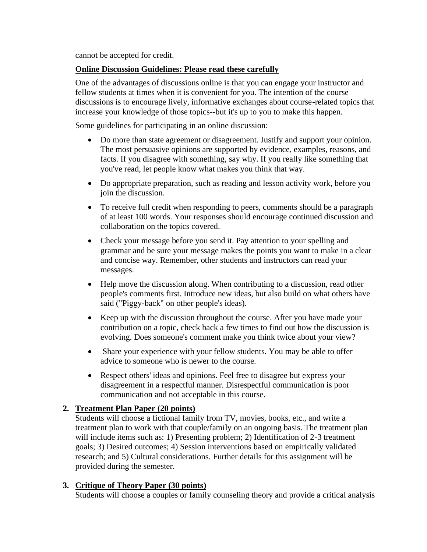cannot be accepted for credit.

#### **Online Discussion Guidelines: Please read these carefully**

One of the advantages of discussions online is that you can engage your instructor and fellow students at times when it is convenient for you. The intention of the course discussions is to encourage lively, informative exchanges about course-related topics that increase your knowledge of those topics--but it's up to you to make this happen.

Some guidelines for participating in an online discussion:

- Do more than state agreement or disagreement. Justify and support your opinion. The most persuasive opinions are supported by evidence, examples, reasons, and facts. If you disagree with something, say why. If you really like something that you've read, let people know what makes you think that way.
- Do appropriate preparation, such as reading and lesson activity work, before you join the discussion.
- To receive full credit when responding to peers, comments should be a paragraph of at least 100 words. Your responses should encourage continued discussion and collaboration on the topics covered.
- Check your message before you send it. Pay attention to your spelling and grammar and be sure your message makes the points you want to make in a clear and concise way. Remember, other students and instructors can read your messages.
- Help move the discussion along. When contributing to a discussion, read other people's comments first. Introduce new ideas, but also build on what others have said ("Piggy-back" on other people's ideas).
- Keep up with the discussion throughout the course. After you have made your contribution on a topic, check back a few times to find out how the discussion is evolving. Does someone's comment make you think twice about your view?
- Share your experience with your fellow students. You may be able to offer advice to someone who is newer to the course.
- Respect others' ideas and opinions. Feel free to disagree but express your disagreement in a respectful manner. Disrespectful communication is poor communication and not acceptable in this course.

### **2. Treatment Plan Paper (20 points)**

Students will choose a fictional family from TV, movies, books, etc., and write a treatment plan to work with that couple/family on an ongoing basis. The treatment plan will include items such as: 1) Presenting problem; 2) Identification of 2-3 treatment goals; 3) Desired outcomes; 4) Session interventions based on empirically validated research; and 5) Cultural considerations. Further details for this assignment will be provided during the semester.

### **3. Critique of Theory Paper (30 points)**

Students will choose a couples or family counseling theory and provide a critical analysis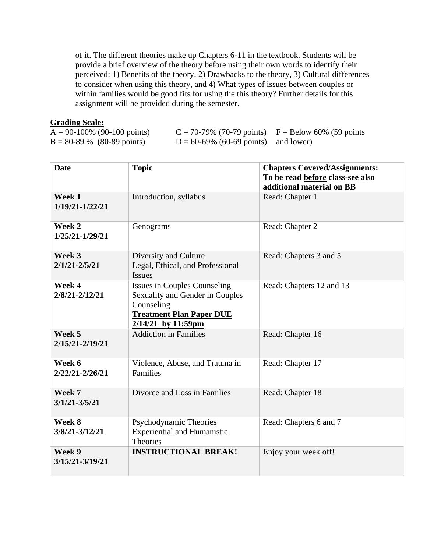of it. The different theories make up Chapters 6-11 in the textbook. Students will be provide a brief overview of the theory before using their own words to identify their perceived: 1) Benefits of the theory, 2) Drawbacks to the theory, 3) Cultural differences to consider when using this theory, and 4) What types of issues between couples or within families would be good fits for using the this theory? Further details for this assignment will be provided during the semester.

#### **Grading Scale:**

| $A = 90-100\%$ (90-100 points) | $C = 70-79\%$ (70-79 points) $F = Below 60\%$ (59 points |  |
|--------------------------------|----------------------------------------------------------|--|
| $B = 80-89$ % (80-89 points)   | $D = 60-69\%$ (60-69 points) and lower)                  |  |

| <b>Date</b>                 | <b>Topic</b>                                                                                                                                    | <b>Chapters Covered/Assignments:</b><br>To be read before class-see also<br>additional material on BB |
|-----------------------------|-------------------------------------------------------------------------------------------------------------------------------------------------|-------------------------------------------------------------------------------------------------------|
| Week 1<br>1/19/21-1/22/21   | Introduction, syllabus                                                                                                                          | Read: Chapter 1                                                                                       |
| Week 2<br>1/25/21-1/29/21   | Genograms                                                                                                                                       | Read: Chapter 2                                                                                       |
| Week 3<br>$2/1/21 - 2/5/21$ | Diversity and Culture<br>Legal, Ethical, and Professional<br><b>Issues</b>                                                                      | Read: Chapters 3 and 5                                                                                |
| Week 4<br>2/8/21-2/12/21    | <b>Issues in Couples Counseling</b><br>Sexuality and Gender in Couples<br>Counseling<br><b>Treatment Plan Paper DUE</b><br>$2/14/21$ by 11:59pm | Read: Chapters 12 and 13                                                                              |
| Week 5<br>2/15/21-2/19/21   | <b>Addiction in Families</b>                                                                                                                    | Read: Chapter 16                                                                                      |
| Week 6<br>2/22/21-2/26/21   | Violence, Abuse, and Trauma in<br><b>Families</b>                                                                                               | Read: Chapter 17                                                                                      |
| Week 7<br>$3/1/21 - 3/5/21$ | Divorce and Loss in Families                                                                                                                    | Read: Chapter 18                                                                                      |
| Week 8<br>3/8/21-3/12/21    | Psychodynamic Theories<br><b>Experiential and Humanistic</b><br><b>Theories</b>                                                                 | Read: Chapters 6 and 7                                                                                |
| Week 9<br>3/15/21-3/19/21   | <b>INSTRUCTIONAL BREAK!</b>                                                                                                                     | Enjoy your week off!                                                                                  |